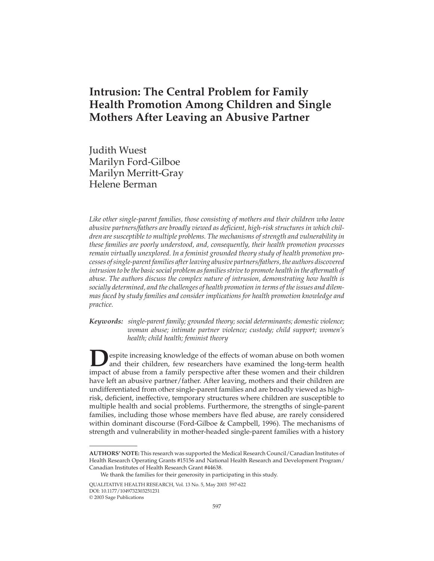# **Intrusion: The Central Problem for Family Health Promotion Among Children and Single Mothers After Leaving an Abusive Partner**

Judith Wuest Marilyn Ford-Gilboe Marilyn Merritt-Gray Helene Berman

*Like other single-parent families, those consisting of mothers and their children who leave abusive partners/fathers are broadly viewed as deficient, high-risk structures in which children are susceptible to multiple problems. The mechanisms of strength and vulnerability in these families are poorly understood, and, consequently, their health promotion processes remain virtually unexplored. In a feminist grounded theory study of health promotion processes of single-parent families after leaving abusive partners/fathers, the authors discovered intrusion to be the basic social problem as families strive to promote health in the aftermath of abuse. The authors discuss the complex nature of intrusion, demonstrating how health is socially determined, and the challenges of health promotion in terms of the issues and dilemmas faced by study families and consider implications for health promotion knowledge and practice.*

*Keywords: single-parent family; grounded theory; social determinants; domestic violence; woman abuse; intimate partner violence; custody; child support; women's health; child health; feminist theory*

**Despite increasing knowledge of the effects of woman abuse on both women** and their children, few researchers have examined the long-term health impact of abuse from a family perspective after these women and their children have left an abusive partner/father. After leaving, mothers and their children are undifferentiated from other single-parent families and are broadly viewed as highrisk, deficient, ineffective, temporary structures where children are susceptible to multiple health and social problems. Furthermore, the strengths of single-parent families, including those whose members have fled abuse, are rarely considered within dominant discourse (Ford-Gilboe & Campbell, 1996). The mechanisms of strength and vulnerability in mother-headed single-parent families with a history

QUALITATIVE HEALTH RESEARCH, Vol. 13 No. 5, May 2003 597-622 DOI: 10.1177/1049732303251231 © 2003 Sage Publications

**AUTHORS' NOTE:** This research was supported the Medical Research Council/Canadian Institutes of Health Research Operating Grants #15156 and National Health Research and Development Program/ Canadian Institutes of Health Research Grant #44638.

We thank the families for their generosity in participating in this study.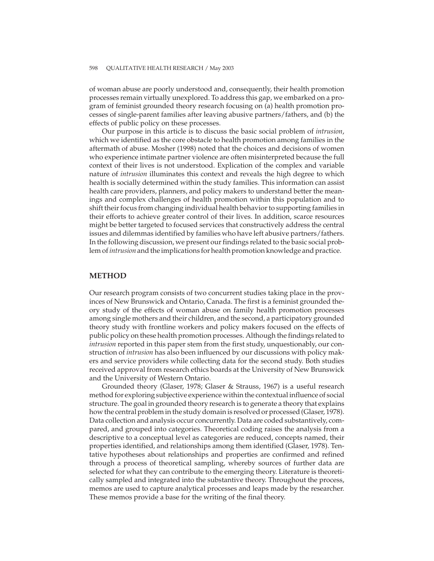of woman abuse are poorly understood and, consequently, their health promotion processes remain virtually unexplored. To address this gap, we embarked on a program of feminist grounded theory research focusing on (a) health promotion processes of single-parent families after leaving abusive partners/fathers, and (b) the effects of public policy on these processes.

Our purpose in this article is to discuss the basic social problem of *intrusion*, which we identified as the core obstacle to health promotion among families in the aftermath of abuse. Mosher (1998) noted that the choices and decisions of women who experience intimate partner violence are often misinterpreted because the full context of their lives is not understood. Explication of the complex and variable nature of *intrusion* illuminates this context and reveals the high degree to which health is socially determined within the study families. This information can assist health care providers, planners, and policy makers to understand better the meanings and complex challenges of health promotion within this population and to shift their focus from changing individual health behavior to supporting families in their efforts to achieve greater control of their lives. In addition, scarce resources might be better targeted to focused services that constructively address the central issues and dilemmas identified by families who have left abusive partners/fathers. In the following discussion, we present our findings related to the basic social problem of*intrusion* and the implications for health promotion knowledge and practice.

## **METHOD**

Our research program consists of two concurrent studies taking place in the provinces of New Brunswick and Ontario, Canada. The first is a feminist grounded theory study of the effects of woman abuse on family health promotion processes among single mothers and their children, and the second, a participatory grounded theory study with frontline workers and policy makers focused on the effects of public policy on these health promotion processes. Although the findings related to *intrusion* reported in this paper stem from the first study, unquestionably, our construction of *intrusion* has also been influenced by our discussions with policy makers and service providers while collecting data for the second study. Both studies received approval from research ethics boards at the University of New Brunswick and the University of Western Ontario.

Grounded theory (Glaser, 1978; Glaser & Strauss, 1967) is a useful research method for exploring subjective experience within the contextual influence of social structure. The goal in grounded theory research is to generate a theory that explains how the central problem in the study domain is resolved or processed (Glaser, 1978). Data collection and analysis occur concurrently. Data are coded substantively, compared, and grouped into categories. Theoretical coding raises the analysis from a descriptive to a conceptual level as categories are reduced, concepts named, their properties identified, and relationships among them identified (Glaser, 1978). Tentative hypotheses about relationships and properties are confirmed and refined through a process of theoretical sampling, whereby sources of further data are selected for what they can contribute to the emerging theory. Literature is theoretically sampled and integrated into the substantive theory. Throughout the process, memos are used to capture analytical processes and leaps made by the researcher. These memos provide a base for the writing of the final theory.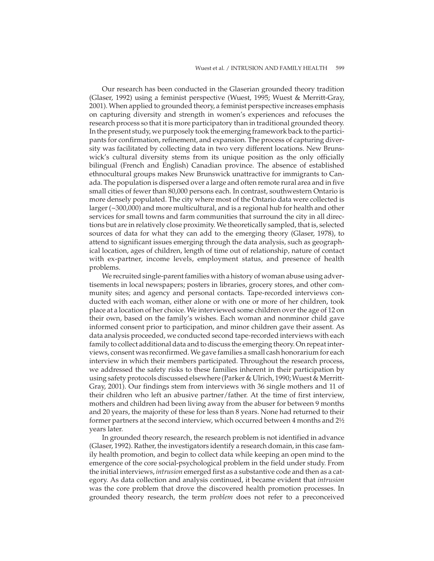Our research has been conducted in the Glaserian grounded theory tradition (Glaser, 1992) using a feminist perspective (Wuest, 1995; Wuest & Merritt-Gray, 2001). When applied to grounded theory, a feminist perspective increases emphasis on capturing diversity and strength in women's experiences and refocuses the research process so that it is more participatory than in traditional grounded theory. In the present study, we purposely took the emerging framework back to the participants for confirmation, refinement, and expansion. The process of capturing diversity was facilitated by collecting data in two very different locations. New Brunswick's cultural diversity stems from its unique position as the only officially bilingual (French and English) Canadian province. The absence of established ethnocultural groups makes New Brunswick unattractive for immigrants to Canada. The population is dispersed over a large and often remote rural area and in five small cities of fewer than 80,000 persons each. In contrast, southwestern Ontario is more densely populated. The city where most of the Ontario data were collected is larger (~300,000) and more multicultural, and is a regional hub for health and other services for small towns and farm communities that surround the city in all directions but are in relatively close proximity. We theoretically sampled, that is, selected sources of data for what they can add to the emerging theory (Glaser, 1978), to attend to significant issues emerging through the data analysis, such as geographical location, ages of children, length of time out of relationship, nature of contact with ex-partner, income levels, employment status, and presence of health problems.

We recruited single-parent families with a history of woman abuse using advertisements in local newspapers; posters in libraries, grocery stores, and other community sites; and agency and personal contacts. Tape-recorded interviews conducted with each woman, either alone or with one or more of her children, took place at a location of her choice. We interviewed some children over the age of 12 on their own, based on the family's wishes. Each woman and nonminor child gave informed consent prior to participation, and minor children gave their assent. As data analysis proceeded, we conducted second tape-recorded interviews with each family to collect additional data and to discuss the emerging theory. On repeat interviews, consent was reconfirmed. We gave families a small cash honorarium for each interview in which their members participated. Throughout the research process, we addressed the safety risks to these families inherent in their participation by using safety protocols discussed elsewhere (Parker & Ulrich, 1990; Wuest & Merritt-Gray, 2001). Our findings stem from interviews with 36 single mothers and 11 of their children who left an abusive partner/father. At the time of first interview, mothers and children had been living away from the abuser for between 9 months and 20 years, the majority of these for less than 8 years. None had returned to their former partners at the second interview, which occurred between 4 months and 2½ years later.

In grounded theory research, the research problem is not identified in advance (Glaser, 1992). Rather, the investigators identify a research domain, in this case family health promotion, and begin to collect data while keeping an open mind to the emergence of the core social-psychological problem in the field under study. From the initial interviews, *intrusion* emerged first as a substantive code and then as a category. As data collection and analysis continued, it became evident that *intrusion* was the core problem that drove the discovered health promotion processes. In grounded theory research, the term *problem* does not refer to a preconceived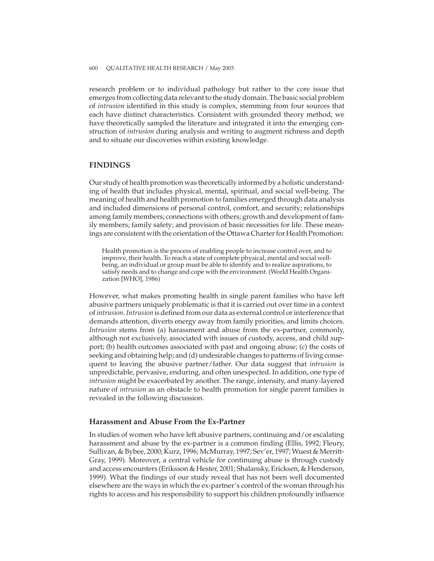research problem or to individual pathology but rather to the core issue that emerges from collecting data relevant to the study domain. The basic social problem of *intrusion* identified in this study is complex, stemming from four sources that each have distinct characteristics. Consistent with grounded theory method, we have theoretically sampled the literature and integrated it into the emerging construction of *intrusion* during analysis and writing to augment richness and depth and to situate our discoveries within existing knowledge.

# **FINDINGS**

Our study of health promotion was theoretically informed by a holistic understanding of health that includes physical, mental, spiritual, and social well-being. The meaning of health and health promotion to families emerged through data analysis and included dimensions of personal control, comfort, and security; relationships among family members; connections with others; growth and development of family members; family safety; and provision of basic necessities for life. These meanings are consistent with the orientation of the Ottawa Charter for Health Promotion:

Health promotion is the process of enabling people to increase control over, and to improve, their health. To reach a state of complete physical, mental and social wellbeing, an individual or group must be able to identify and to realize aspirations, to satisfy needs and to change and cope with the environment. (World Health Organization [WHO], 1986)

However, what makes promoting health in single parent families who have left abusive partners uniquely problematic is that it is carried out over time in a context of*intrusion*.*Intrusion* is defined from our data as external control or interference that demands attention, diverts energy away from family priorities, and limits choices. *Intrusion* stems from (a) harassment and abuse from the ex-partner, commonly, although not exclusively, associated with issues of custody, access, and child support; (b) health outcomes associated with past and ongoing abuse; (c) the costs of seeking and obtaining help; and (d) undesirable changes to patterns of living consequent to leaving the abusive partner/father. Our data suggest that *intrusion* is unpredictable, pervasive, enduring, and often unexpected. In addition, one type of *intrusion* might be exacerbated by another. The range, intensity, and many-layered nature of *intrusion* as an obstacle to health promotion for single parent families is revealed in the following discussion.

# **Harassment and Abuse From the Ex-Partner**

In studies of women who have left abusive partners, continuing and/or escalating harassment and abuse by the ex-partner is a common finding (Ellis, 1992; Fleury, Sullivan, & Bybee, 2000; Kurz, 1996; McMurray, 1997; Sev'er, 1997; Wuest & Merritt-Gray, 1999). Moreover, a central vehicle for continuing abuse is through custody and access encounters (Eriksson & Hester, 2001; Shalansky, Ericksen, & Henderson, 1999). What the findings of our study reveal that has not been well documented elsewhere are the ways in which the ex-partner's control of the woman through his rights to access and his responsibility to support his children profoundly influence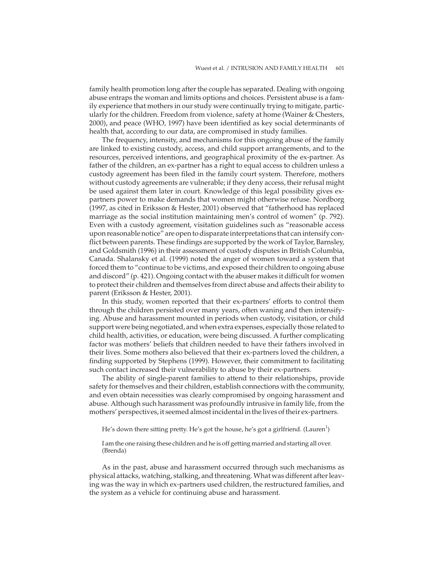family health promotion long after the couple has separated. Dealing with ongoing abuse entraps the woman and limits options and choices. Persistent abuse is a family experience that mothers in our study were continually trying to mitigate, particularly for the children. Freedom from violence, safety at home (Wainer & Chesters, 2000), and peace (WHO, 1997) have been identified as key social determinants of health that, according to our data, are compromised in study families.

The frequency, intensity, and mechanisms for this ongoing abuse of the family are linked to existing custody, access, and child support arrangements, and to the resources, perceived intentions, and geographical proximity of the ex-partner. As father of the children, an ex-partner has a right to equal access to children unless a custody agreement has been filed in the family court system. Therefore, mothers without custody agreements are vulnerable; if they deny access, their refusal might be used against them later in court. Knowledge of this legal possibility gives expartners power to make demands that women might otherwise refuse. Nordborg (1997, as cited in Eriksson & Hester, 2001) observed that "fatherhood has replaced marriage as the social institution maintaining men's control of women" (p. 792). Even with a custody agreement, visitation guidelines such as "reasonable access upon reasonable notice" are open to disparate interpretations that can intensify conflict between parents. These findings are supported by the work of Taylor, Barnsley, and Goldsmith (1996) in their assessment of custody disputes in British Columbia, Canada. Shalansky et al. (1999) noted the anger of women toward a system that forced them to "continue to be victims, and exposed their children to ongoing abuse and discord" (p. 421). Ongoing contact with the abuser makes it difficult for women to protect their children and themselves from direct abuse and affects their ability to parent (Eriksson & Hester, 2001).

In this study, women reported that their ex-partners' efforts to control them through the children persisted over many years, often waning and then intensifying. Abuse and harassment mounted in periods when custody, visitation, or child support were being negotiated, and when extra expenses, especially those related to child health, activities, or education, were being discussed. A further complicating factor was mothers' beliefs that children needed to have their fathers involved in their lives. Some mothers also believed that their ex-partners loved the children, a finding supported by Stephens (1999). However, their commitment to facilitating such contact increased their vulnerability to abuse by their ex-partners.

The ability of single-parent families to attend to their relationships, provide safety for themselves and their children, establish connections with the community, and even obtain necessities was clearly compromised by ongoing harassment and abuse. Although such harassment was profoundly intrusive in family life, from the mothers' perspectives, it seemed almost incidental in the lives of their ex-partners.

He's down there sitting pretty. He's got the house, he's got a girlfriend. (Lauren $^1$ )

I am the one raising these children and he is off getting married and starting all over. (Brenda)

As in the past, abuse and harassment occurred through such mechanisms as physical attacks, watching, stalking, and threatening. What was different after leaving was the way in which ex-partners used children, the restructured families, and the system as a vehicle for continuing abuse and harassment.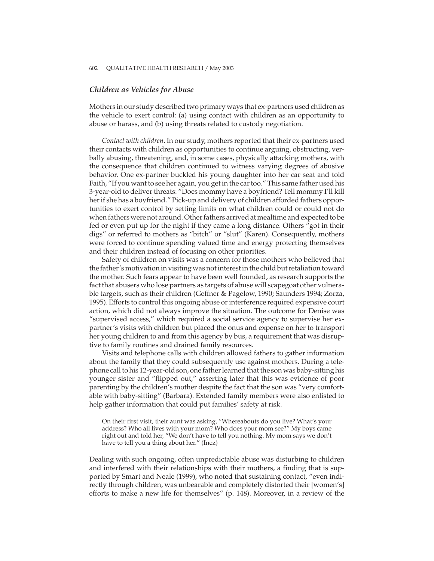#### *Children as Vehicles for Abuse*

Mothers in our study described two primary ways that ex-partners used children as the vehicle to exert control: (a) using contact with children as an opportunity to abuse or harass, and (b) using threats related to custody negotiation.

*Contact with children*. In our study, mothers reported that their ex-partners used their contacts with children as opportunities to continue arguing, obstructing, verbally abusing, threatening, and, in some cases, physically attacking mothers, with the consequence that children continued to witness varying degrees of abusive behavior. One ex-partner buckled his young daughter into her car seat and told Faith, "If you want to see her again, you get in the car too." This same father used his 3-year-old to deliver threats: "Does mommy have a boyfriend? Tell mommy I'll kill her if she has a boyfriend." Pick-up and delivery of children afforded fathers opportunities to exert control by setting limits on what children could or could not do when fathers were not around. Other fathers arrived at mealtime and expected to be fed or even put up for the night if they came a long distance. Others "got in their digs" or referred to mothers as "bitch" or "slut" (Karen). Consequently, mothers were forced to continue spending valued time and energy protecting themselves and their children instead of focusing on other priorities.

Safety of children on visits was a concern for those mothers who believed that the father's motivation in visiting was not interest in the child but retaliation toward the mother. Such fears appear to have been well founded, as research supports the fact that abusers who lose partners as targets of abuse will scapegoat other vulnerable targets, such as their children (Geffner & Pagelow, 1990; Saunders 1994; Zorza, 1995). Efforts to control this ongoing abuse or interference required expensive court action, which did not always improve the situation. The outcome for Denise was "supervised access," which required a social service agency to supervise her expartner's visits with children but placed the onus and expense on her to transport her young children to and from this agency by bus, a requirement that was disruptive to family routines and drained family resources.

Visits and telephone calls with children allowed fathers to gather information about the family that they could subsequently use against mothers. During a telephone call to his 12-year-old son, one father learned that the son was baby-sitting his younger sister and "flipped out," asserting later that this was evidence of poor parenting by the children's mother despite the fact that the son was "very comfortable with baby-sitting" (Barbara). Extended family members were also enlisted to help gather information that could put families' safety at risk.

On their first visit, their aunt was asking, "Whereabouts do you live? What's your address? Who all lives with your mom? Who does your mom see?" My boys came right out and told her, "We don't have to tell you nothing. My mom says we don't have to tell you a thing about her." (Inez)

Dealing with such ongoing, often unpredictable abuse was disturbing to children and interfered with their relationships with their mothers, a finding that is supported by Smart and Neale (1999), who noted that sustaining contact, "even indirectly through children, was unbearable and completely distorted their [women's] efforts to make a new life for themselves" (p. 148). Moreover, in a review of the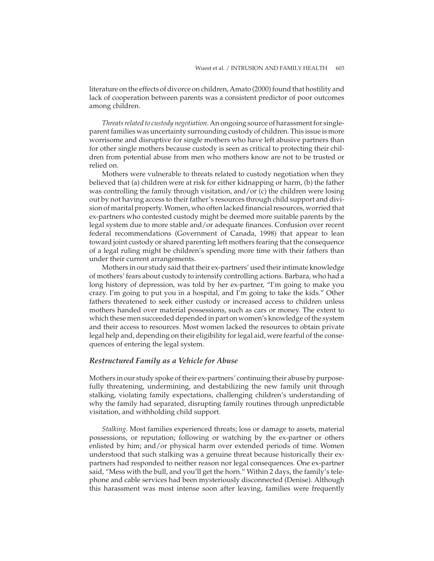literature on the effects of divorce on children, Amato (2000) found that hostility and lack of cooperation between parents was a consistent predictor of poor outcomes among children.

*Threats related to custody negotiation*. An ongoing source of harassment for singleparent families was uncertainty surrounding custody of children. This issue is more worrisome and disruptive for single mothers who have left abusive partners than for other single mothers because custody is seen as critical to protecting their children from potential abuse from men who mothers know are not to be trusted or relied on.

Mothers were vulnerable to threats related to custody negotiation when they believed that (a) children were at risk for either kidnapping or harm, (b) the father was controlling the family through visitation, and/or (c) the children were losing out by not having access to their father's resources through child support and division of marital property. Women, who often lacked financial resources, worried that ex-partners who contested custody might be deemed more suitable parents by the legal system due to more stable and/or adequate finances. Confusion over recent federal recommendations (Government of Canada, 1998) that appear to lean toward joint custody or shared parenting left mothers fearing that the consequence of a legal ruling might be children's spending more time with their fathers than under their current arrangements.

Mothers in our study said that their ex-partners' used their intimate knowledge of mothers' fears about custody to intensify controlling actions. Barbara, who had a long history of depression, was told by her ex-partner, "I'm going to make you crazy. I'm going to put you in a hospital, and I'm going to take the kids." Other fathers threatened to seek either custody or increased access to children unless mothers handed over material possessions, such as cars or money. The extent to which these men succeeded depended in part on women's knowledge of the system and their access to resources. Most women lacked the resources to obtain private legal help and, depending on their eligibility for legal aid, were fearful of the consequences of entering the legal system.

#### *Restructured Family as a Vehicle for Abuse*

Mothers in our study spoke of their ex-partners' continuing their abuse by purposefully threatening, undermining, and destabilizing the new family unit through stalking, violating family expectations, challenging children's understanding of why the family had separated, disrupting family routines through unpredictable visitation, and withholding child support.

*Stalking*. Most families experienced threats; loss or damage to assets, material possessions, or reputation; following or watching by the ex-partner or others enlisted by him; and/or physical harm over extended periods of time. Women understood that such stalking was a genuine threat because historically their expartners had responded to neither reason nor legal consequences. One ex-partner said, "Mess with the bull, and you'll get the horn." Within 2 days, the family's telephone and cable services had been mysteriously disconnected (Denise). Although this harassment was most intense soon after leaving, families were frequently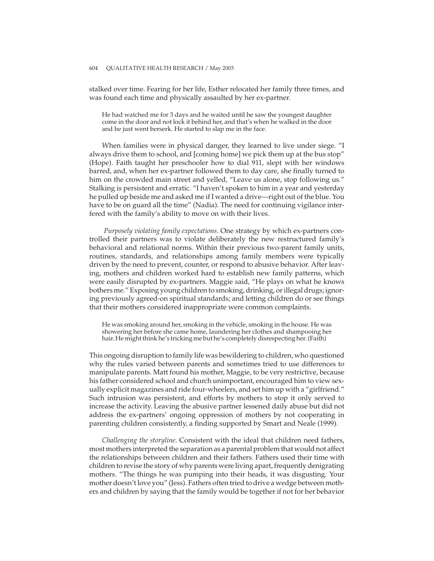stalked over time. Fearing for her life, Esther relocated her family three times, and was found each time and physically assaulted by her ex-partner.

He had watched me for 3 days and he waited until he saw the youngest daughter come in the door and not lock it behind her, and that's when he walked in the door and he just went berserk. He started to slap me in the face.

When families were in physical danger, they learned to live under siege. "I always drive them to school, and [coming home] we pick them up at the bus stop" (Hope). Faith taught her preschooler how to dial 911, slept with her windows barred, and, when her ex-partner followed them to day care, she finally turned to him on the crowded main street and yelled, "Leave us alone, stop following us." Stalking is persistent and erratic. "I haven't spoken to him in a year and yesterday he pulled up beside me and asked me if I wanted a drive—right out of the blue. You have to be on guard all the time" (Nadia). The need for continuing vigilance interfered with the family's ability to move on with their lives.

*Purposely violating family expectations*. One strategy by which ex-partners controlled their partners was to violate deliberately the new restructured family's behavioral and relational norms. Within their previous two-parent family units, routines, standards, and relationships among family members were typically driven by the need to prevent, counter, or respond to abusive behavior. After leaving, mothers and children worked hard to establish new family patterns, which were easily disrupted by ex-partners. Maggie said, "He plays on what he knows bothers me." Exposing young children to smoking, drinking, or illegal drugs; ignoring previously agreed-on spiritual standards; and letting children do or see things that their mothers considered inappropriate were common complaints.

He was smoking around her, smoking in the vehicle, smoking in the house. He was showering her before she came home, laundering her clothes and shampooing her hair. He might think he's tricking me but he's completely disrespecting her. (Faith)

This ongoing disruption to family life was bewildering to children, who questioned why the rules varied between parents and sometimes tried to use differences to manipulate parents. Matt found his mother, Maggie, to be very restrictive, because his father considered school and church unimportant, encouraged him to view sexually explicit magazines and ride four-wheelers, and set him up with a "girlfriend." Such intrusion was persistent, and efforts by mothers to stop it only served to increase the activity. Leaving the abusive partner lessened daily abuse but did not address the ex-partners' ongoing oppression of mothers by not cooperating in parenting children consistently, a finding supported by Smart and Neale (1999).

*Challenging the storyline*. Consistent with the ideal that children need fathers, most mothers interpreted the separation as a parental problem that would not affect the relationships between children and their fathers. Fathers used their time with children to revise the story of why parents were living apart, frequently denigrating mothers. "The things he was pumping into their heads, it was disgusting. Your mother doesn't love you" (Jess). Fathers often tried to drive a wedge between mothers and children by saying that the family would be together if not for her behavior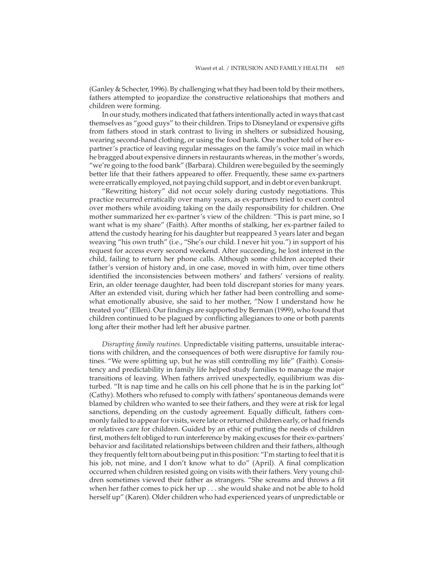(Ganley & Schecter, 1996). By challenging what they had been told by their mothers, fathers attempted to jeopardize the constructive relationships that mothers and children were forming.

In our study, mothers indicated that fathers intentionally acted in ways that cast themselves as "good guys" to their children. Trips to Disneyland or expensive gifts from fathers stood in stark contrast to living in shelters or subsidized housing, wearing second-hand clothing, or using the food bank. One mother told of her expartner's practice of leaving regular messages on the family's voice mail in which he bragged about expensive dinners in restaurants whereas, in the mother's words, "we're going to the food bank" (Barbara). Children were beguiled by the seemingly better life that their fathers appeared to offer. Frequently, these same ex-partners were erratically employed, not paying child support, and in debt or even bankrupt.

"Rewriting history" did not occur solely during custody negotiations. This practice recurred erratically over many years, as ex-partners tried to exert control over mothers while avoiding taking on the daily responsibility for children. One mother summarized her ex-partner's view of the children: "This is part mine, so I want what is my share" (Faith). After months of stalking, her ex-partner failed to attend the custody hearing for his daughter but reappeared 3 years later and began weaving "his own truth" (i.e., "She's our child. I never hit you.") in support of his request for access every second weekend. After succeeding, he lost interest in the child, failing to return her phone calls. Although some children accepted their father's version of history and, in one case, moved in with him, over time others identified the inconsistencies between mothers' and fathers' versions of reality. Erin, an older teenage daughter, had been told discrepant stories for many years. After an extended visit, during which her father had been controlling and somewhat emotionally abusive, she said to her mother, "Now I understand how he treated you" (Ellen). Our findings are supported by Berman (1999), who found that children continued to be plagued by conflicting allegiances to one or both parents long after their mother had left her abusive partner.

*Disrupting family routines*. Unpredictable visiting patterns, unsuitable interactions with children, and the consequences of both were disruptive for family routines. "We were splitting up, but he was still controlling my life" (Faith). Consistency and predictability in family life helped study families to manage the major transitions of leaving. When fathers arrived unexpectedly, equilibrium was disturbed. "It is nap time and he calls on his cell phone that he is in the parking lot" (Cathy). Mothers who refused to comply with fathers' spontaneous demands were blamed by children who wanted to see their fathers, and they were at risk for legal sanctions, depending on the custody agreement. Equally difficult, fathers commonly failed to appear for visits, were late or returned children early, or had friends or relatives care for children. Guided by an ethic of putting the needs of children first, mothers felt obliged to run interference by making excuses for their ex-partners' behavior and facilitated relationships between children and their fathers, although they frequently felt torn about being put in this position: "I'm starting to feel that it is his job, not mine, and I don't know what to do" (April). A final complication occurred when children resisted going on visits with their fathers. Very young children sometimes viewed their father as strangers. "She screams and throws a fit when her father comes to pick her up . . . she would shake and not be able to hold herself up" (Karen). Older children who had experienced years of unpredictable or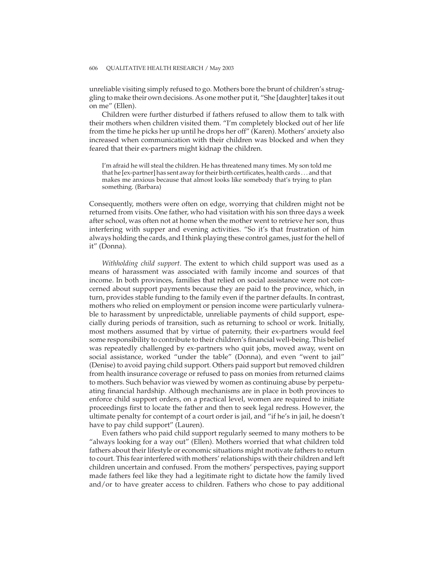unreliable visiting simply refused to go. Mothers bore the brunt of children's struggling to make their own decisions. As one mother put it, "She [daughter] takes it out on me" (Ellen).

Children were further disturbed if fathers refused to allow them to talk with their mothers when children visited them. "I'm completely blocked out of her life from the time he picks her up until he drops her off" (Karen). Mothers' anxiety also increased when communication with their children was blocked and when they feared that their ex-partners might kidnap the children.

I'm afraid he will steal the children. He has threatened many times. My son told me that he [ex-partner] has sent away for their birth certificates, health cards . . . and that makes me anxious because that almost looks like somebody that's trying to plan something. (Barbara)

Consequently, mothers were often on edge, worrying that children might not be returned from visits. One father, who had visitation with his son three days a week after school, was often not at home when the mother went to retrieve her son, thus interfering with supper and evening activities. "So it's that frustration of him always holding the cards, and I think playing these control games, just for the hell of it" (Donna).

*Withholding child support*. The extent to which child support was used as a means of harassment was associated with family income and sources of that income. In both provinces, families that relied on social assistance were not concerned about support payments because they are paid to the province, which, in turn, provides stable funding to the family even if the partner defaults. In contrast, mothers who relied on employment or pension income were particularly vulnerable to harassment by unpredictable, unreliable payments of child support, especially during periods of transition, such as returning to school or work. Initially, most mothers assumed that by virtue of paternity, their ex-partners would feel some responsibility to contribute to their children's financial well-being. This belief was repeatedly challenged by ex-partners who quit jobs, moved away, went on social assistance, worked "under the table" (Donna), and even "went to jail" (Denise) to avoid paying child support. Others paid support but removed children from health insurance coverage or refused to pass on monies from returned claims to mothers. Such behavior was viewed by women as continuing abuse by perpetuating financial hardship. Although mechanisms are in place in both provinces to enforce child support orders, on a practical level, women are required to initiate proceedings first to locate the father and then to seek legal redress. However, the ultimate penalty for contempt of a court order is jail, and "if he's in jail, he doesn't have to pay child support" (Lauren).

Even fathers who paid child support regularly seemed to many mothers to be "always looking for a way out" (Ellen). Mothers worried that what children told fathers about their lifestyle or economic situations might motivate fathers to return to court. This fear interfered with mothers' relationships with their children and left children uncertain and confused. From the mothers' perspectives, paying support made fathers feel like they had a legitimate right to dictate how the family lived and/or to have greater access to children. Fathers who chose to pay additional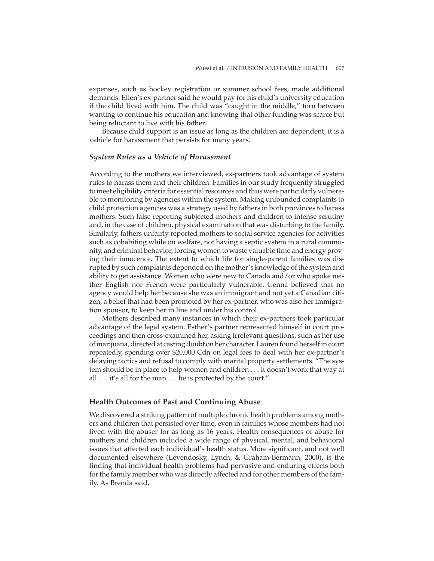expenses, such as hockey registration or summer school fees, made additional demands. Ellen's ex-partner said he would pay for his child's university education if the child lived with him. The child was "caught in the middle," torn between wanting to continue his education and knowing that other funding was scarce but being reluctant to live with his father.

Because child support is an issue as long as the children are dependent, it is a vehicle for harassment that persists for many years.

#### *System Rules as a Vehicle of Harassment*

According to the mothers we interviewed, ex-partners took advantage of system rules to harass them and their children. Families in our study frequently struggled to meet eligibility criteria for essential resources and thus were particularly vulnerable to monitoring by agencies within the system. Making unfounded complaints to child protection agencies was a strategy used by fathers in both provinces to harass mothers. Such false reporting subjected mothers and children to intense scrutiny and, in the case of children, physical examination that was disturbing to the family. Similarly, fathers unfairly reported mothers to social service agencies for activities such as cohabiting while on welfare, not having a septic system in a rural community, and criminal behavior, forcing women to waste valuable time and energy proving their innocence. The extent to which life for single-parent families was disrupted by such complaints depended on the mother's knowledge of the system and ability to get assistance. Women who were new to Canada and/or who spoke neither English nor French were particularly vulnerable. Genna believed that no agency would help her because she was an immigrant and not yet a Canadian citizen, a belief that had been promoted by her ex-partner, who was also her immigration sponsor, to keep her in line and under his control.

Mothers described many instances in which their ex-partners took particular advantage of the legal system. Esther's partner represented himself in court proceedings and then cross-examined her, asking irrelevant questions, such as her use of marijuana, directed at casting doubt on her character. Lauren found herself in court repeatedly, spending over \$20,000 Cdn on legal fees to deal with her ex-partner's delaying tactics and refusal to comply with marital property settlements. "The system should be in place to help women and children . . . it doesn't work that way at all . . . it's all for the man . . . he is protected by the court."

#### **Health Outcomes of Past and Continuing Abuse**

We discovered a striking pattern of multiple chronic health problems among mothers and children that persisted over time, even in families whose members had not lived with the abuser for as long as 16 years. Health consequences of abuse for mothers and children included a wide range of physical, mental, and behavioral issues that affected each individual's health status. More significant, and not well documented elsewhere (Levendosky, Lynch, & Graham-Bermann, 2000), is the finding that individual health problems had pervasive and enduring effects both for the family member who was directly affected and for other members of the family. As Brenda said,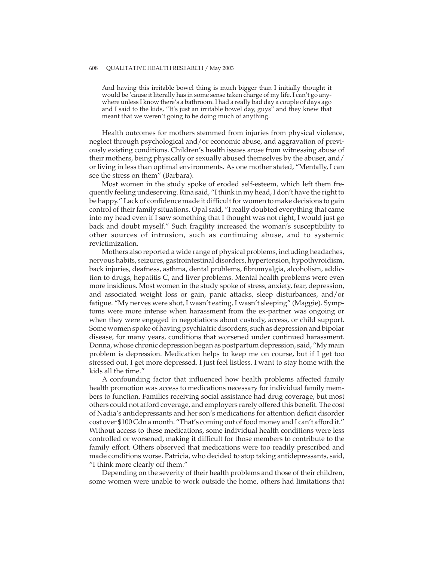And having this irritable bowel thing is much bigger than I initially thought it would be 'cause it literally has in some sense taken charge of my life. I can't go anywhere unless I know there's a bathroom. I had a really bad day a couple of days ago and I said to the kids, "It's just an irritable bowel day, guys" and they knew that meant that we weren't going to be doing much of anything.

Health outcomes for mothers stemmed from injuries from physical violence, neglect through psychological and/or economic abuse, and aggravation of previously existing conditions. Children's health issues arose from witnessing abuse of their mothers, being physically or sexually abused themselves by the abuser, and/ or living in less than optimal environments. As one mother stated, "Mentally, I can see the stress on them" (Barbara).

Most women in the study spoke of eroded self-esteem, which left them frequently feeling undeserving. Rina said, "I think in my head, I don't have the right to be happy." Lack of confidence made it difficult for women to make decisions to gain control of their family situations. Opal said, "I really doubted everything that came into my head even if I saw something that I thought was not right, I would just go back and doubt myself." Such fragility increased the woman's susceptibility to other sources of intrusion, such as continuing abuse, and to systemic revictimization.

Mothers also reported a wide range of physical problems, including headaches, nervous habits, seizures, gastrointestinal disorders, hypertension, hypothyroidism, back injuries, deafness, asthma, dental problems, fibromyalgia, alcoholism, addiction to drugs, hepatitis C, and liver problems. Mental health problems were even more insidious. Most women in the study spoke of stress, anxiety, fear, depression, and associated weight loss or gain, panic attacks, sleep disturbances, and/or fatigue. "My nerves were shot, I wasn't eating, I wasn't sleeping" (Maggie). Symptoms were more intense when harassment from the ex-partner was ongoing or when they were engaged in negotiations about custody, access, or child support. Some women spoke of having psychiatric disorders, such as depression and bipolar disease, for many years, conditions that worsened under continued harassment. Donna, whose chronic depression began as postpartum depression, said, "My main problem is depression. Medication helps to keep me on course, but if I get too stressed out, I get more depressed. I just feel listless. I want to stay home with the kids all the time."

A confounding factor that influenced how health problems affected family health promotion was access to medications necessary for individual family members to function. Families receiving social assistance had drug coverage, but most others could not afford coverage, and employers rarely offered this benefit. The cost of Nadia's antidepressants and her son's medications for attention deficit disorder cost over \$100 Cdn a month. "That's coming out of food money and I can't afford it." Without access to these medications, some individual health conditions were less controlled or worsened, making it difficult for those members to contribute to the family effort. Others observed that medications were too readily prescribed and made conditions worse. Patricia, who decided to stop taking antidepressants, said, "I think more clearly off them."

Depending on the severity of their health problems and those of their children, some women were unable to work outside the home, others had limitations that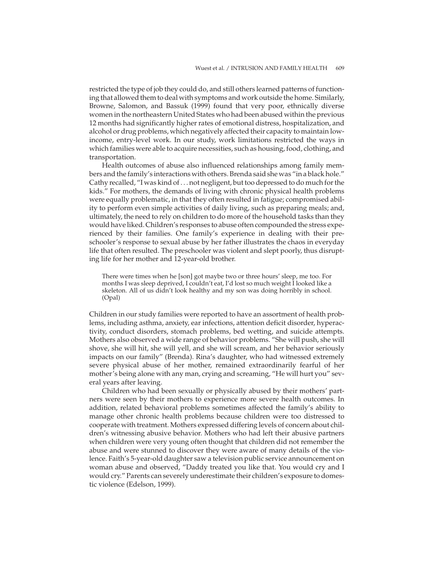restricted the type of job they could do, and still others learned patterns of functioning that allowed them to deal with symptoms and work outside the home. Similarly, Browne, Salomon, and Bassuk (1999) found that very poor, ethnically diverse women in the northeastern United States who had been abused within the previous 12 months had significantly higher rates of emotional distress, hospitalization, and alcohol or drug problems, which negatively affected their capacity to maintain lowincome, entry-level work. In our study, work limitations restricted the ways in which families were able to acquire necessities, such as housing, food, clothing, and transportation.

Health outcomes of abuse also influenced relationships among family members and the family's interactions with others. Brenda said she was "in a black hole." Cathy recalled, "I was kind of . . . not negligent, but too depressed to do much for the kids." For mothers, the demands of living with chronic physical health problems were equally problematic, in that they often resulted in fatigue; compromised ability to perform even simple activities of daily living, such as preparing meals; and, ultimately, the need to rely on children to do more of the household tasks than they would have liked. Children's responses to abuse often compounded the stress experienced by their families. One family's experience in dealing with their preschooler's response to sexual abuse by her father illustrates the chaos in everyday life that often resulted. The preschooler was violent and slept poorly, thus disrupting life for her mother and 12-year-old brother.

There were times when he [son] got maybe two or three hours' sleep, me too. For months I was sleep deprived, I couldn't eat, I'd lost so much weight I looked like a skeleton. All of us didn't look healthy and my son was doing horribly in school. (Opal)

Children in our study families were reported to have an assortment of health problems, including asthma, anxiety, ear infections, attention deficit disorder, hyperactivity, conduct disorders, stomach problems, bed wetting, and suicide attempts. Mothers also observed a wide range of behavior problems. "She will push, she will shove, she will hit, she will yell, and she will scream, and her behavior seriously impacts on our family" (Brenda). Rina's daughter, who had witnessed extremely severe physical abuse of her mother, remained extraordinarily fearful of her mother's being alone with any man, crying and screaming, "He will hurt you" several years after leaving.

Children who had been sexually or physically abused by their mothers' partners were seen by their mothers to experience more severe health outcomes. In addition, related behavioral problems sometimes affected the family's ability to manage other chronic health problems because children were too distressed to cooperate with treatment. Mothers expressed differing levels of concern about children's witnessing abusive behavior. Mothers who had left their abusive partners when children were very young often thought that children did not remember the abuse and were stunned to discover they were aware of many details of the violence. Faith's 5-year-old daughter saw a television public service announcement on woman abuse and observed, "Daddy treated you like that. You would cry and I would cry." Parents can severely underestimate their children's exposure to domestic violence (Edelson, 1999).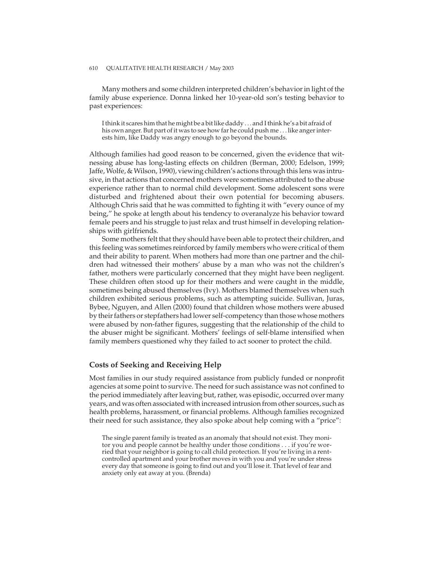Many mothers and some children interpreted children's behavior in light of the family abuse experience. Donna linked her 10-year-old son's testing behavior to past experiences:

I think it scares him that he might be a bit like daddy . . . and Ithink he's a bit afraid of his own anger. But part of it was to see how far he could push me... like anger interests him, like Daddy was angry enough to go beyond the bounds.

Although families had good reason to be concerned, given the evidence that witnessing abuse has long-lasting effects on children (Berman, 2000; Edelson, 1999; Jaffe, Wolfe, & Wilson, 1990), viewing children's actions through this lens was intrusive, in that actions that concerned mothers were sometimes attributed to the abuse experience rather than to normal child development. Some adolescent sons were disturbed and frightened about their own potential for becoming abusers. Although Chris said that he was committed to fighting it with "every ounce of my being," he spoke at length about his tendency to overanalyze his behavior toward female peers and his struggle to just relax and trust himself in developing relationships with girlfriends.

Some mothers felt that they should have been able to protect their children, and this feeling was sometimes reinforced by family members who were critical of them and their ability to parent. When mothers had more than one partner and the children had witnessed their mothers' abuse by a man who was not the children's father, mothers were particularly concerned that they might have been negligent. These children often stood up for their mothers and were caught in the middle, sometimes being abused themselves (Ivy). Mothers blamed themselves when such children exhibited serious problems, such as attempting suicide. Sullivan, Juras, Bybee, Nguyen, and Allen (2000) found that children whose mothers were abused by their fathers or stepfathers had lower self-competency than those whose mothers were abused by non-father figures, suggesting that the relationship of the child to the abuser might be significant. Mothers' feelings of self-blame intensified when family members questioned why they failed to act sooner to protect the child.

#### **Costs of Seeking and Receiving Help**

Most families in our study required assistance from publicly funded or nonprofit agencies at some point to survive. The need for such assistance was not confined to the period immediately after leaving but, rather, was episodic, occurred over many years, and was often associated with increased intrusion from other sources, such as health problems, harassment, or financial problems. Although families recognized their need for such assistance, they also spoke about help coming with a "price":

The single parent family is treated as an anomaly that should not exist. They monitor you and people cannot be healthy under those conditions . . . if you're worried that your neighbor is going to call child protection. If you're living in a rentcontrolled apartment and your brother moves in with you and you're under stress every day that someone is going to find out and you'll lose it. That level of fear and anxiety only eat away at you. (Brenda)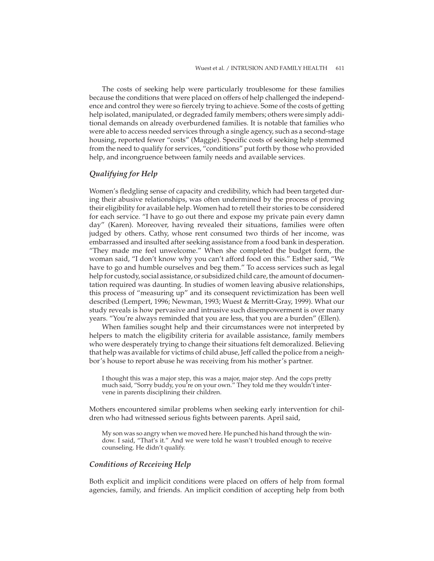The costs of seeking help were particularly troublesome for these families because the conditions that were placed on offers of help challenged the independence and control they were so fiercely trying to achieve. Some of the costs of getting help isolated, manipulated, or degraded family members; others were simply additional demands on already overburdened families. It is notable that families who were able to access needed services through a single agency, such as a second-stage housing, reported fewer "costs" (Maggie). Specific costs of seeking help stemmed from the need to qualify for services, "conditions" put forth by those who provided help, and incongruence between family needs and available services.

# *Qualifying for Help*

Women's fledgling sense of capacity and credibility, which had been targeted during their abusive relationships, was often undermined by the process of proving their eligibility for available help. Women had to retell their stories to be considered for each service. "I have to go out there and expose my private pain every damn day" (Karen). Moreover, having revealed their situations, families were often judged by others. Cathy, whose rent consumed two thirds of her income, was embarrassed and insulted after seeking assistance from a food bank in desperation. "They made me feel unwelcome." When she completed the budget form, the woman said, "I don't know why you can't afford food on this." Esther said, "We have to go and humble ourselves and beg them." To access services such as legal help for custody, social assistance, or subsidized child care, the amount of documentation required was daunting. In studies of women leaving abusive relationships, this process of "measuring up" and its consequent revictimization has been well described (Lempert, 1996; Newman, 1993; Wuest & Merritt-Gray, 1999). What our study reveals is how pervasive and intrusive such disempowerment is over many years. "You're always reminded that you are less, that you are a burden" (Ellen).

When families sought help and their circumstances were not interpreted by helpers to match the eligibility criteria for available assistance, family members who were desperately trying to change their situations felt demoralized. Believing that help was available for victims of child abuse, Jeff called the police from a neighbor's house to report abuse he was receiving from his mother's partner.

I thought this was a major step, this was a major, major step. And the cops pretty much said, "Sorry buddy, you're on your own." They told me they wouldn't intervene in parents disciplining their children.

Mothers encountered similar problems when seeking early intervention for children who had witnessed serious fights between parents. April said,

My son was so angry when we moved here. He punched his hand through the window. I said, "That's it." And we were told he wasn't troubled enough to receive counseling. He didn't qualify.

## *Conditions of Receiving Help*

Both explicit and implicit conditions were placed on offers of help from formal agencies, family, and friends. An implicit condition of accepting help from both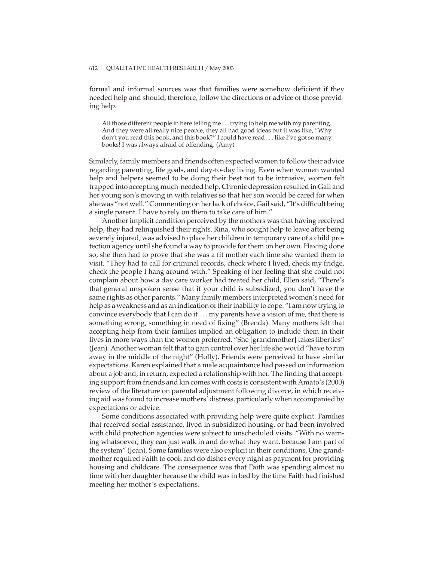formal and informal sources was that families were somehow deficient if they needed help and should, therefore, follow the directions or advice of those providing help.

All those different people in here telling me . . . trying to help me with my parenting. And they were all really nice people, they all had good ideas but it was like, "Why don't you read this book, and this book?" I could have read... like I've got so many books! I was always afraid of offending. (Amy)

Similarly, family members and friends often expected women to follow their advice regarding parenting, life goals, and day-to-day living. Even when women wanted help and helpers seemed to be doing their best not to be intrusive, women felt trapped into accepting much-needed help. Chronic depression resulted in Gail and her young son's moving in with relatives so that her son would be cared for when she was "not well." Commenting on her lack of choice, Gail said, "It's difficult being a single parent. I have to rely on them to take care of him."

Another implicit condition perceived by the mothers was that having received help, they had relinquished their rights. Rina, who sought help to leave after being severely injured, was advised to place her children in temporary care of a child protection agency until she found a way to provide for them on her own. Having done so, she then had to prove that she was a fit mother each time she wanted them to visit. "They had to call for criminal records, check where I lived, check my fridge, check the people I hang around with." Speaking of her feeling that she could not complain about how a day care worker had treated her child, Ellen said, "There's that general unspoken sense that if your child is subsidized, you don't have the same rights as other parents." Many family members interpreted women's need for help as a weakness and as an indication of their inability to cope. "I am now trying to convince everybody that I can do it . . . my parents have a vision of me, that there is something wrong, something in need of fixing" (Brenda). Many mothers felt that accepting help from their families implied an obligation to include them in their lives in more ways than the women preferred. "She [grandmother] takes liberties" (Jean). Another woman felt that to gain control over her life she would "have to run away in the middle of the night" (Holly). Friends were perceived to have similar expectations. Karen explained that a male acquaintance had passed on information about a job and, in return, expected a relationship with her. The finding that accepting support from friends and kin comes with costs is consistent with Amato's (2000) review of the literature on parental adjustment following divorce, in which receiving aid was found to increase mothers' distress, particularly when accompanied by expectations or advice.

Some conditions associated with providing help were quite explicit. Families that received social assistance, lived in subsidized housing, or had been involved with child protection agencies were subject to unscheduled visits. "With no warning whatsoever, they can just walk in and do what they want, because I am part of the system" (Jean). Some families were also explicit in their conditions. One grandmother required Faith to cook and do dishes every night as payment for providing housing and childcare. The consequence was that Faith was spending almost no time with her daughter because the child was in bed by the time Faith had finished meeting her mother's expectations.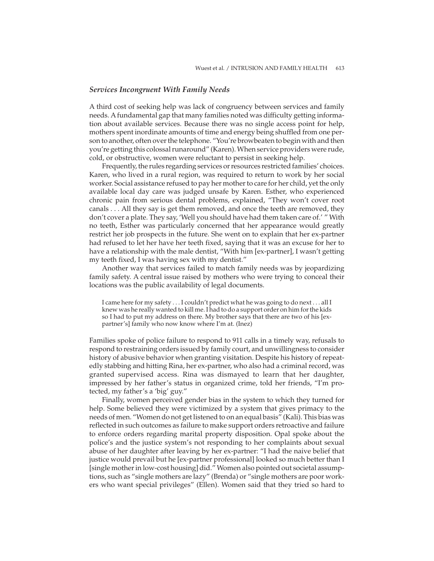# *Services Incongruent With Family Needs*

A third cost of seeking help was lack of congruency between services and family needs. A fundamental gap that many families noted was difficulty getting information about available services. Because there was no single access point for help, mothers spent inordinate amounts of time and energy being shuffled from one person to another, often over the telephone. "You're browbeaten to begin with and then you're getting this colossal runaround" (Karen). When service providers were rude, cold, or obstructive, women were reluctant to persist in seeking help.

Frequently, the rules regarding services or resources restricted families' choices. Karen, who lived in a rural region, was required to return to work by her social worker. Social assistance refused to pay her mother to care for her child, yet the only available local day care was judged unsafe by Karen. Esther, who experienced chronic pain from serious dental problems, explained, "They won't cover root canals . . . All they say is get them removed, and once the teeth are removed, they don't cover a plate. They say, 'Well you should have had them taken care of.' " With no teeth, Esther was particularly concerned that her appearance would greatly restrict her job prospects in the future. She went on to explain that her ex-partner had refused to let her have her teeth fixed, saying that it was an excuse for her to have a relationship with the male dentist, "With him [ex-partner], I wasn't getting my teeth fixed, I was having sex with my dentist."

Another way that services failed to match family needs was by jeopardizing family safety. A central issue raised by mothers who were trying to conceal their locations was the public availability of legal documents.

I came here for my safety ...I couldn't predict what he was going to do next . . . all I knew was he really wanted to kill me. I had to do a support order on him for the kids so I had to put my address on there. My brother says that there are two of his [expartner's] family who now know where I'm at. (Inez)

Families spoke of police failure to respond to 911 calls in a timely way, refusals to respond to restraining orders issued by family court, and unwillingness to consider history of abusive behavior when granting visitation. Despite his history of repeatedly stabbing and hitting Rina, her ex-partner, who also had a criminal record, was granted supervised access. Rina was dismayed to learn that her daughter, impressed by her father's status in organized crime, told her friends, "I'm protected, my father's a 'big' guy."

Finally, women perceived gender bias in the system to which they turned for help. Some believed they were victimized by a system that gives primacy to the needs of men. "Women do not get listened to on an equal basis" (Kali). This bias was reflected in such outcomes as failure to make support orders retroactive and failure to enforce orders regarding marital property disposition. Opal spoke about the police's and the justice system's not responding to her complaints about sexual abuse of her daughter after leaving by her ex-partner: "I had the naive belief that justice would prevail but he [ex-partner professional] looked so much better than I [single mother in low-cost housing] did." Women also pointed out societal assumptions, such as "single mothers are lazy" (Brenda) or "single mothers are poor workers who want special privileges" (Ellen). Women said that they tried so hard to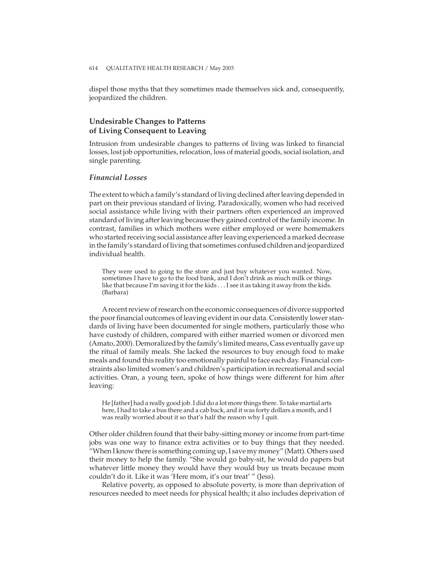dispel those myths that they sometimes made themselves sick and, consequently, jeopardized the children.

# **Undesirable Changes to Patterns of Living Consequent to Leaving**

Intrusion from undesirable changes to patterns of living was linked to financial losses, lost job opportunities, relocation, loss of material goods, social isolation, and single parenting.

#### *Financial Losses*

The extent to which a family's standard of living declined after leaving depended in part on their previous standard of living. Paradoxically, women who had received social assistance while living with their partners often experienced an improved standard of living after leaving because they gained control of the family income. In contrast, families in which mothers were either employed or were homemakers who started receiving social assistance after leaving experienced a marked decrease in the family's standard of living that sometimes confused children and jeopardized individual health.

They were used to going to the store and just buy whatever you wanted. Now, sometimes I have to go to the food bank, and I don't drink as much milk or things like that because I'm saving it for the kids . . . I see it as taking it away from the kids. (Barbara)

Arecent review of research on the economic consequences of divorce supported the poor financial outcomes of leaving evident in our data. Consistently lower standards of living have been documented for single mothers, particularly those who have custody of children, compared with either married women or divorced men (Amato, 2000). Demoralized by the family's limited means, Cass eventually gave up the ritual of family meals. She lacked the resources to buy enough food to make meals and found this reality too emotionally painful to face each day. Financial constraints also limited women's and children's participation in recreational and social activities. Oran, a young teen, spoke of how things were different for him after leaving:

He [father] had a really good job. I did do a lot more things there. To take martial arts here, I had to take a bus there and a cab back, and it was forty dollars a month, and I was really worried about it so that's half the reason why I quit.

Other older children found that their baby-sitting money or income from part-time jobs was one way to finance extra activities or to buy things that they needed. "When I know there is something coming up, I save my money" (Matt). Others used their money to help the family. "She would go baby-sit, he would do papers but whatever little money they would have they would buy us treats because mom couldn't do it. Like it was 'Here mom, it's our treat' " (Jess).

Relative poverty, as opposed to absolute poverty, is more than deprivation of resources needed to meet needs for physical health; it also includes deprivation of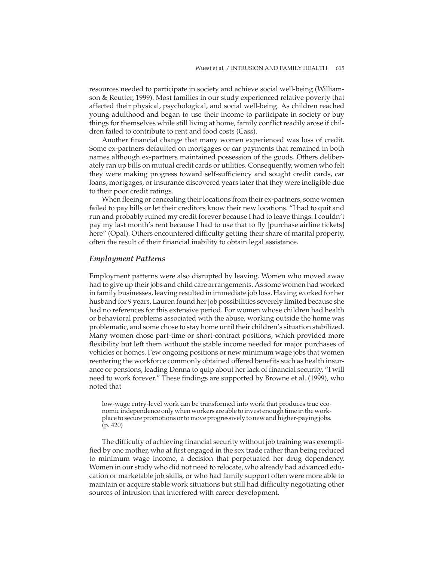resources needed to participate in society and achieve social well-being (Williamson & Reutter, 1999). Most families in our study experienced relative poverty that affected their physical, psychological, and social well-being. As children reached young adulthood and began to use their income to participate in society or buy things for themselves while still living at home, family conflict readily arose if children failed to contribute to rent and food costs (Cass).

Another financial change that many women experienced was loss of credit. Some ex-partners defaulted on mortgages or car payments that remained in both names although ex-partners maintained possession of the goods. Others deliberately ran up bills on mutual credit cards or utilities. Consequently, women who felt they were making progress toward self-sufficiency and sought credit cards, car loans, mortgages, or insurance discovered years later that they were ineligible due to their poor credit ratings.

When fleeing or concealing their locations from their ex-partners, some women failed to pay bills or let their creditors know their new locations. "I had to quit and run and probably ruined my credit forever because I had to leave things. I couldn't pay my last month's rent because I had to use that to fly [purchase airline tickets] here" (Opal). Others encountered difficulty getting their share of marital property, often the result of their financial inability to obtain legal assistance.

## *Employment Patterns*

Employment patterns were also disrupted by leaving. Women who moved away had to give up their jobs and child care arrangements. As some women had worked in family businesses, leaving resulted in immediate job loss. Having worked for her husband for 9 years, Lauren found her job possibilities severely limited because she had no references for this extensive period. For women whose children had health or behavioral problems associated with the abuse, working outside the home was problematic, and some chose to stay home until their children's situation stabilized. Many women chose part-time or short-contract positions, which provided more flexibility but left them without the stable income needed for major purchases of vehicles or homes. Few ongoing positions or new minimum wage jobs that women reentering the workforce commonly obtained offered benefits such as health insurance or pensions, leading Donna to quip about her lack of financial security, "I will need to work forever." These findings are supported by Browne et al. (1999), who noted that

low-wage entry-level work can be transformed into work that produces true economic independence only when workers are able to invest enough time in the workplace to secure promotions or to move progressively to new and higher-paying jobs. (p. 420)

The difficulty of achieving financial security without job training was exemplified by one mother, who at first engaged in the sex trade rather than being reduced to minimum wage income, a decision that perpetuated her drug dependency. Women in our study who did not need to relocate, who already had advanced education or marketable job skills, or who had family support often were more able to maintain or acquire stable work situations but still had difficulty negotiating other sources of intrusion that interfered with career development.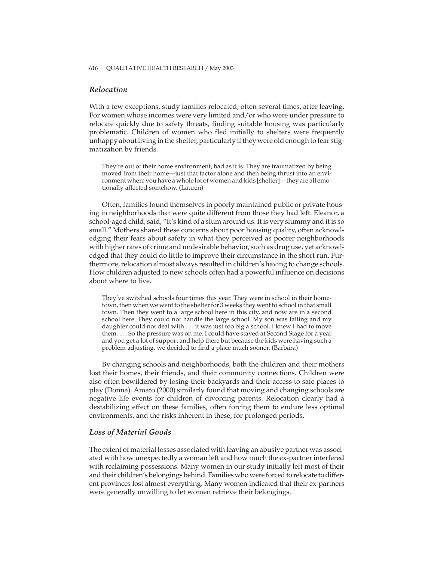# *Relocation*

With a few exceptions, study families relocated, often several times, after leaving. For women whose incomes were very limited and/or who were under pressure to relocate quickly due to safety threats, finding suitable housing was particularly problematic. Children of women who fled initially to shelters were frequently unhappy about living in the shelter, particularly if they were old enough to fear stigmatization by friends.

They're out of their home environment, bad as it is. They are traumatized by being moved from their home—just that factor alone and then being thrust into an environment where you have a whole lot of women and kids [shelter]—they are all emotionally affected somehow. (Lauren)

Often, families found themselves in poorly maintained public or private housing in neighborhoods that were quite different from those they had left. Eleanor, a school-aged child, said, "It's kind of a slum around us. It is very slummy and it is so small." Mothers shared these concerns about poor housing quality, often acknowledging their fears about safety in what they perceived as poorer neighborhoods with higher rates of crime and undesirable behavior, such as drug use, yet acknowledged that they could do little to improve their circumstance in the short run. Furthermore, relocation almost always resulted in children's having to change schools. How children adjusted to new schools often had a powerful influence on decisions about where to live.

They've switched schools four times this year. They were in school in their hometown, then when we went to the shelter for 3 weeks they went to school in that small town. Then they went to a large school here in this city, and now are in a second school here. They could not handle the large school. My son was failing and my daughter could not deal with . . . it was just too big a school. I knew I had to move them. . . . So the pressure was on me. I could have stayed at Second Stage for a year and you get a lot of support and help there but because the kids were having such a problem adjusting, we decided to find a place much sooner. (Barbara)

By changing schools and neighborhoods, both the children and their mothers lost their homes, their friends, and their community connections. Children were also often bewildered by losing their backyards and their access to safe places to play (Donna). Amato (2000) similarly found that moving and changing schools are negative life events for children of divorcing parents. Relocation clearly had a destabilizing effect on these families, often forcing them to endure less optimal environments, and the risks inherent in these, for prolonged periods.

# *Loss of Material Goods*

The extent of material losses associated with leaving an abusive partner was associated with how unexpectedly a woman left and how much the ex-partner interfered with reclaiming possessions. Many women in our study initially left most of their and their children's belongings behind. Families who were forced to relocate to different provinces lost almost everything. Many women indicated that their ex-partners were generally unwilling to let women retrieve their belongings.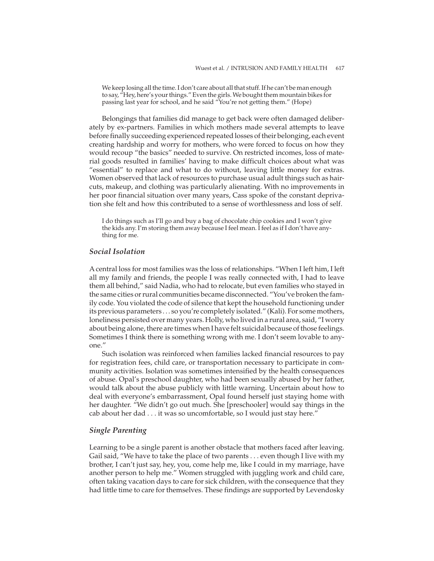We keep losing all the time. I don't care about all that stuff. If he can't be man enough to say, "Hey, here's your things." Even the girls. We bought them mountain bikes for passing last year for school, and he said "You're not getting them." (Hope)

Belongings that families did manage to get back were often damaged deliberately by ex-partners. Families in which mothers made several attempts to leave before finally succeeding experienced repeated losses of their belonging, each event creating hardship and worry for mothers, who were forced to focus on how they would recoup "the basics" needed to survive. On restricted incomes, loss of material goods resulted in families' having to make difficult choices about what was "essential" to replace and what to do without, leaving little money for extras. Women observed that lack of resources to purchase usual adult things such as haircuts, makeup, and clothing was particularly alienating. With no improvements in her poor financial situation over many years, Cass spoke of the constant deprivation she felt and how this contributed to a sense of worthlessness and loss of self.

I do things such as I'll go and buy a bag of chocolate chip cookies and I won't give the kids any. I'm storing them away because I feel mean. I feel as if I don't have anything for me.

## *Social Isolation*

A central loss for most families was the loss of relationships. "When I left him, I left all my family and friends, the people I was really connected with, I had to leave them all behind," said Nadia, who had to relocate, but even families who stayed in the same cities or rural communities became disconnected. "You've broken the family code. You violated the code of silence that kept the household functioning under its previous parameters . . . so you're completely isolated." (Kali). For some mothers, loneliness persisted over many years. Holly, who lived in a rural area, said, "I worry about being alone, there are times when I have felt suicidal because of those feelings. Sometimes I think there is something wrong with me. I don't seem lovable to anyone."

Such isolation was reinforced when families lacked financial resources to pay for registration fees, child care, or transportation necessary to participate in community activities. Isolation was sometimes intensified by the health consequences of abuse. Opal's preschool daughter, who had been sexually abused by her father, would talk about the abuse publicly with little warning. Uncertain about how to deal with everyone's embarrassment, Opal found herself just staying home with her daughter. "We didn't go out much. She [preschooler] would say things in the cab about her dad . . . it was so uncomfortable, so I would just stay here."

## *Single Parenting*

Learning to be a single parent is another obstacle that mothers faced after leaving. Gail said, "We have to take the place of two parents . . . even though I live with my brother, I can't just say, hey, you, come help me, like I could in my marriage, have another person to help me." Women struggled with juggling work and child care, often taking vacation days to care for sick children, with the consequence that they had little time to care for themselves. These findings are supported by Levendosky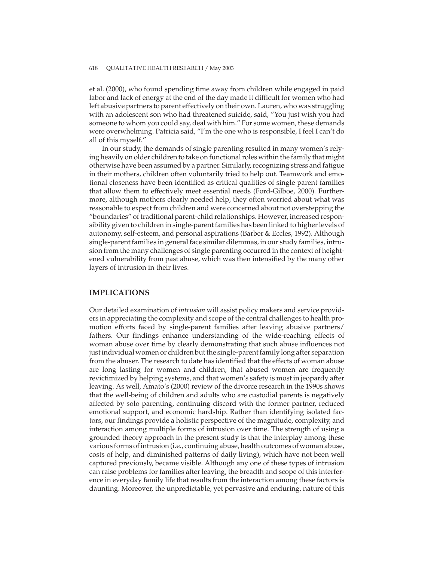et al. (2000), who found spending time away from children while engaged in paid labor and lack of energy at the end of the day made it difficult for women who had left abusive partners to parent effectively on their own. Lauren, who was struggling with an adolescent son who had threatened suicide, said, "You just wish you had someone to whom you could say, deal with him." For some women, these demands were overwhelming. Patricia said, "I'm the one who is responsible, I feel I can't do all of this myself."

In our study, the demands of single parenting resulted in many women's relying heavily on older children to take on functional roles within the family that might otherwise have been assumed by a partner. Similarly, recognizing stress and fatigue in their mothers, children often voluntarily tried to help out. Teamwork and emotional closeness have been identified as critical qualities of single parent families that allow them to effectively meet essential needs (Ford-Gilboe, 2000). Furthermore, although mothers clearly needed help, they often worried about what was reasonable to expect from children and were concerned about not overstepping the "boundaries" of traditional parent-child relationships. However, increased responsibility given to children in single-parent families has been linked to higher levels of autonomy, self-esteem, and personal aspirations (Barber & Eccles, 1992). Although single-parent families in general face similar dilemmas, in our study families, intrusion from the many challenges of single parenting occurred in the context of heightened vulnerability from past abuse, which was then intensified by the many other layers of intrusion in their lives.

### **IMPLICATIONS**

Our detailed examination of *intrusion* will assist policy makers and service providers in appreciating the complexity and scope of the central challenges to health promotion efforts faced by single-parent families after leaving abusive partners/ fathers. Our findings enhance understanding of the wide-reaching effects of woman abuse over time by clearly demonstrating that such abuse influences not just individual women or children but the single-parent family long after separation from the abuser. The research to date has identified that the effects of woman abuse are long lasting for women and children, that abused women are frequently revictimized by helping systems, and that women's safety is most in jeopardy after leaving. As well, Amato's (2000) review of the divorce research in the 1990s shows that the well-being of children and adults who are custodial parents is negatively affected by solo parenting, continuing discord with the former partner, reduced emotional support, and economic hardship. Rather than identifying isolated factors, our findings provide a holistic perspective of the magnitude, complexity, and interaction among multiple forms of intrusion over time. The strength of using a grounded theory approach in the present study is that the interplay among these various forms of intrusion (i.e., continuing abuse, health outcomes of woman abuse, costs of help, and diminished patterns of daily living), which have not been well captured previously, became visible. Although any one of these types of intrusion can raise problems for families after leaving, the breadth and scope of this interference in everyday family life that results from the interaction among these factors is daunting. Moreover, the unpredictable, yet pervasive and enduring, nature of this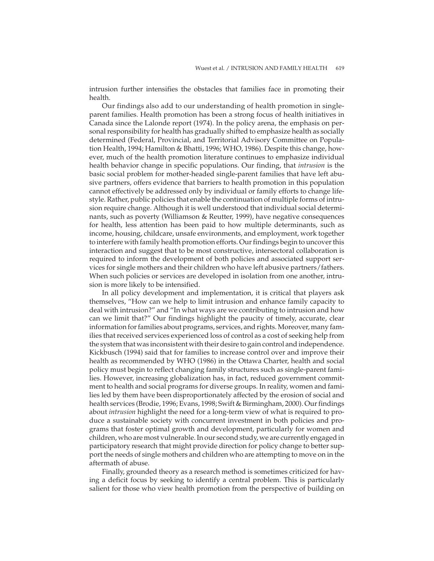intrusion further intensifies the obstacles that families face in promoting their health.

Our findings also add to our understanding of health promotion in singleparent families. Health promotion has been a strong focus of health initiatives in Canada since the Lalonde report (1974). In the policy arena, the emphasis on personal responsibility for health has gradually shifted to emphasize health as socially determined (Federal, Provincial, and Territorial Advisory Committee on Population Health, 1994; Hamilton & Bhatti, 1996; WHO, 1986). Despite this change, however, much of the health promotion literature continues to emphasize individual health behavior change in specific populations. Our finding, that *intrusion* is the basic social problem for mother-headed single-parent families that have left abusive partners, offers evidence that barriers to health promotion in this population cannot effectively be addressed only by individual or family efforts to change lifestyle. Rather, public policies that enable the continuation of multiple forms of intrusion require change. Although it is well understood that individual social determinants, such as poverty (Williamson & Reutter, 1999), have negative consequences for health, less attention has been paid to how multiple determinants, such as income, housing, childcare, unsafe environments, and employment, work together to interfere with family health promotion efforts. Our findings begin to uncover this interaction and suggest that to be most constructive, intersectoral collaboration is required to inform the development of both policies and associated support services for single mothers and their children who have left abusive partners/fathers. When such policies or services are developed in isolation from one another, intrusion is more likely to be intensified.

In all policy development and implementation, it is critical that players ask themselves, "How can we help to limit intrusion and enhance family capacity to deal with intrusion?" and "In what ways are we contributing to intrusion and how can we limit that?" Our findings highlight the paucity of timely, accurate, clear information for families about programs, services, and rights. Moreover, many families that received services experienced loss of control as a cost of seeking help from the system that was inconsistent with their desire to gain control and independence. Kickbusch (1994) said that for families to increase control over and improve their health as recommended by WHO (1986) in the Ottawa Charter, health and social policy must begin to reflect changing family structures such as single-parent families. However, increasing globalization has, in fact, reduced government commitment to health and social programs for diverse groups. In reality, women and families led by them have been disproportionately affected by the erosion of social and health services (Brodie, 1996; Evans, 1998; Swift & Birmingham, 2000). Our findings about *intrusion* highlight the need for a long-term view of what is required to produce a sustainable society with concurrent investment in both policies and programs that foster optimal growth and development, particularly for women and children, who are most vulnerable. In our second study, we are currently engaged in participatory research that might provide direction for policy change to better support the needs of single mothers and children who are attempting to move on in the aftermath of abuse.

Finally, grounded theory as a research method is sometimes criticized for having a deficit focus by seeking to identify a central problem. This is particularly salient for those who view health promotion from the perspective of building on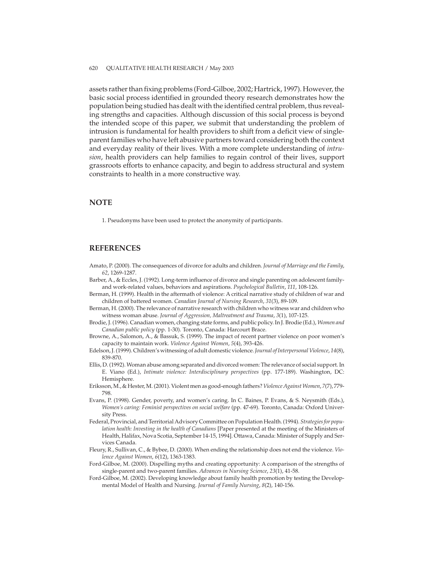assets rather than fixing problems (Ford-Gilboe, 2002; Hartrick, 1997). However, the basic social process identified in grounded theory research demonstrates how the population being studied has dealt with the identified central problem, thus revealing strengths and capacities. Although discussion of this social process is beyond the intended scope of this paper, we submit that understanding the problem of intrusion is fundamental for health providers to shift from a deficit view of singleparent families who have left abusive partners toward considering both the context and everyday reality of their lives. With a more complete understanding of *intrusion*, health providers can help families to regain control of their lives, support grassroots efforts to enhance capacity, and begin to address structural and system constraints to health in a more constructive way.

# **NOTE**

1. Pseudonyms have been used to protect the anonymity of participants.

## **REFERENCES**

- Amato, P. (2000). The consequences of divorce for adults and children. *Journal of Marriage and the Family*, *62*, 1269-1287.
- Barber, A., & Eccles, J. (1992). Long-term influence of divorce and single parenting on adolescent familyand work-related values, behaviors and aspirations. *Psychological Bulletin*, *111*, 108-126.
- Berman, H. (1999). Health in the aftermath of violence: A critical narrative study of children of war and children of battered women. *Canadian Journal of Nursing Research*, *31*(3), 89-109.
- Berman, H. (2000). The relevance of narrative research with children who witness war and children who witness woman abuse. *Journal of Aggression, Maltreatment and Trauma*, *3*(1), 107-125.
- Brodie, J. (1996). Canadian women, changing state forms, and public policy. In J. Brodie (Ed.), *Women and Canadian public policy* (pp. 1-30). Toronto, Canada: Harcourt Brace.
- Browne, A., Salomon, A., & Bassuk, S. (1999). The impact of recent partner violence on poor women's capacity to maintain work. *Violence Against Women*, *5*(4), 393-426.
- Edelson, J. (1999). Children's witnessing of adult domestic violence.*Journal of Interpersonal Violence*, *14*(8), 839-870.
- Ellis, D. (1992). Woman abuse among separated and divorced women: The relevance of social support. In E. Viano (Ed.), *Intimate violence: Interdisciplinary perspectives* (pp. 177-189). Washington, DC: Hemisphere.
- Eriksson, M., & Hester, M. (2001). Violent men as good-enough fathers? *Violence Against Women*, *7*(7), 779- 798.
- Evans, P. (1998). Gender, poverty, and women's caring. In C. Baines, P. Evans, & S. Neysmith (Eds.), *Women's caring: Feminist perspectives on social welfare* (pp. 47-69). Toronto, Canada: Oxford University Press.
- Federal, Provincial, and Territorial Advisory Committee on Population Health. (1994). *Strategies for population health: Investing in the health of Canadians* [Paper presented at the meeting of the Ministers of Health, Halifax, Nova Scotia, September 14-15, 1994]. Ottawa, Canada: Minister of Supply and Services Canada.
- Fleury, R., Sullivan, C., & Bybee, D. (2000). When ending the relationship does not end the violence. *Violence Against Women*, *6*(12), 1363-1383.
- Ford-Gilboe, M. (2000). Dispelling myths and creating opportunity: A comparison of the strengths of single-parent and two-parent families. *Advances in Nursing Science*, *23*(1), 41-58.
- Ford-Gilboe, M. (2002). Developing knowledge about family health promotion by testing the Developmental Model of Health and Nursing. *Journal of Family Nursing*, *8*(2), 140-156.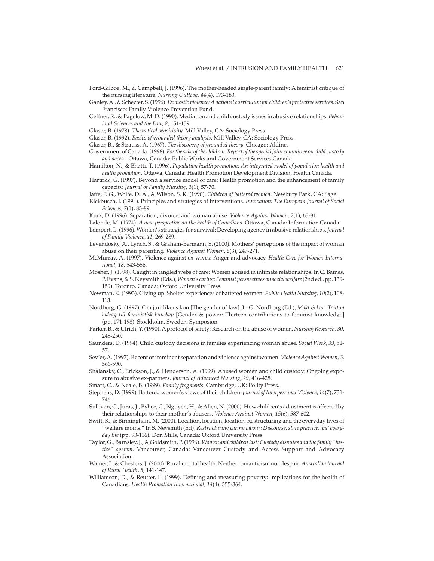- Ford-Gilboe, M., & Campbell, J. (1996). The mother-headed single-parent family: A feminist critique of the nursing literature. *Nursing Outlook*, *44*(4), 173-183.
- Ganley, A., & Schecter, S. (1996).*Domestic violence: Anational curriculum for children's protective services*. San Francisco: Family Violence Prevention Fund.
- Geffner, R., & Pagelow, M. D. (1990). Mediation and child custody issues in abusive relationships. *Behavioral Sciences and the Law*, *8*, 151-159.
- Glaser, B. (1978). *Theoretical sensitivity*. Mill Valley, CA: Sociology Press.
- Glaser, B. (1992). *Basics of grounded theory analysis*. Mill Valley, CA: Sociology Press.
- Glaser, B., & Strauss, A. (1967). *The discovery of grounded theory*. Chicago: Aldine.
- Government of Canada. (1998). *For the sake of the children: Report of the special joint committee on child custody and access*. Ottawa, Canada: Public Works and Government Services Canada.
- Hamilton, N., & Bhatti, T. (1996). *Population health promotion: An integrated model of population health and health promotion*. Ottawa, Canada: Health Promotion Development Division, Health Canada.
- Hartrick, G. (1997). Beyond a service model of care: Health promotion and the enhancement of family capacity. *Journal of Family Nursing*, *3*(1), 57-70.
- Jaffe, P. G., Wolfe, D. A., & Wilson, S. K. (1990). *Children of battered women*. Newbury Park, CA: Sage.
- Kickbusch, I. (1994). Principles and strategies of interventions. *Innovation: The European Journal of Social Sciences*, *7*(1), 83-89.
- Kurz, D. (1996). Separation, divorce, and woman abuse. *Violence Against Women*, *2*(1), 63-81.
- Lalonde, M. (1974). *A new perspective on the health of Canadians*. Ottawa, Canada: Information Canada.
- Lempert, L. (1996). Women's strategies for survival: Developing agency in abusive relationships. *Journal of Family Violence*, *11*, 269-289.
- Levendosky, A., Lynch, S., & Graham-Bermann, S. (2000). Mothers' perceptions of the impact of woman abuse on their parenting. *Violence Against Women*, *6*(3), 247-271.
- McMurray, A. (1997). Violence against ex-wives: Anger and advocacy. *Health Care for Women International*, *18*, 543-556.
- Mosher, J. (1998). Caught in tangled webs of care: Women abused in intimate relationships. In C. Baines, P. Evans, & S. Neysmith (Eds.),*Women's caring: Feminist perspectives on social welfare*(2nd ed., pp. 139- 159). Toronto, Canada: Oxford University Press.
- Newman, K. (1993). Giving up: Shelter experiences of battered women. *Public Health Nursing*, *10*(2), 108- 113.
- Nordborg, G. (1997). Om juridikens kön [The gender of law]. In G. Nordborg (Ed.), *Makt & kön: Tretton bidrag till feministisk kunskap* [Gender & power: Thirteen contributions to feminist knowledge] (pp. 171-198). Stockholm, Sweden: Symposion.
- Parker, B., & Ulrich, Y. (1990). Aprotocol of safety: Research on the abuse of women. *Nursing Research*, *30*, 248-250.
- Saunders, D. (1994). Child custody decisions in families experiencing woman abuse. *Social Work*, *39*, 51- 57.
- Sev'er, A. (1997). Recent or imminent separation and violence against women. *Violence Against Women*, *3*, 566-590.
- Shalansky, C., Erickson, J., & Henderson, A. (1999). Abused women and child custody: Ongoing exposure to abusive ex-partners. *Journal of Advanced Nursing*, *29*, 416-428.
- Smart, C., & Neale, B. (1999). *Family fragments*. Cambridge, UK: Polity Press.
- Stephens, D. (1999). Battered women's views of their children. *Journal of Interpersonal Violence*, *14*(7), 731- 746.
- Sullivan, C., Juras, J., Bybee, C., Nguyen, H., & Allen, N. (2000). How children's adjustment is affected by their relationships to their mother's abusers. *Violence Against Women*, *15*(6), 587-602.
- Swift, K., & Birmingham, M. (2000). Location, location, location: Restructuring and the everyday lives of "welfare moms." In S. Neysmith (Ed), *Restructuring caring labour: Discourse, state practice, and everyday life* (pp. 93-116). Don Mills, Canada: Oxford University Press.
- Taylor, G., Barnsley, J., & Goldsmith, P. (1996). *Women and children last: Custody disputes and the family "justice" system*. Vancouver, Canada: Vancouver Custody and Access Support and Advocacy Association.
- Wainer, J., & Chesters, J. (2000). Rural mental health: Neither romanticism nor despair. *Australian Journal of Rural Health*, *8*, 141-147.
- Williamson, D., & Reutter, L. (1999). Defining and measuring poverty: Implications for the health of Canadians. *Health Promotion International*, *14*(4), 355-364.